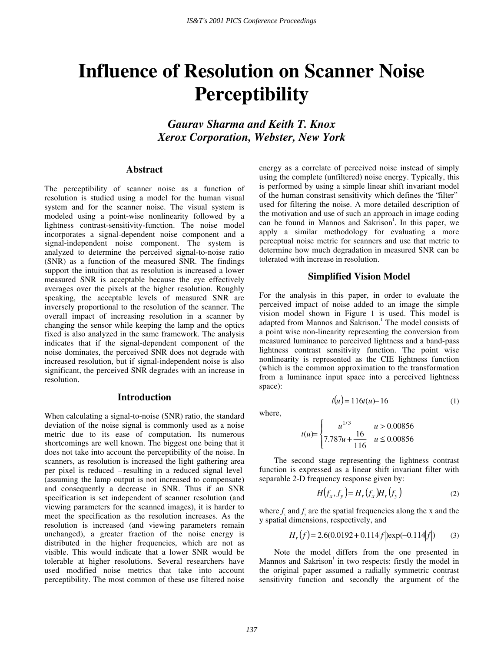# **Influence of Resolution on Scanner Noise Perceptibility**

*Gaurav Sharma and Keith T. Knox Xerox Corporation, Webster, New York* 

#### **Abstract**

The perceptibility of scanner noise as a function of resolution is studied using a model for the human visual system and for the scanner noise. The visual system is modeled using a point-wise nonlinearity followed by a lightness contrast-sensitivity-function. The noise model incorporates a signal-dependent noise component and a signal-independent noise component. The system is analyzed to determine the perceived signal-to-noise ratio (SNR) as a function of the measured SNR. The findings support the intuition that as resolution is increased a lower measured SNR is acceptable because the eye effectively averages over the pixels at the higher resolution. Roughly speaking, the acceptable levels of measured SNR are inversely proportional to the resolution of the scanner. The overall impact of increasing resolution in a scanner by changing the sensor while keeping the lamp and the optics fixed is also analyzed in the same framework. The analysis indicates that if the signal-dependent component of the noise dominates, the perceived SNR does not degrade with increased resolution, but if signal-independent noise is also significant, the perceived SNR degrades with an increase in resolution.

#### **Introduction**

When calculating a signal-to-noise (SNR) ratio, the standard deviation of the noise signal is commonly used as a noise metric due to its ease of computation. Its numerous shortcomings are well known. The biggest one being that it does not take into account the perceptibility of the noise. In scanners, as resolution is increased the light gathering area per pixel is reduced – resulting in a reduced signal level (assuming the lamp output is not increased to compensate) and consequently a decrease in SNR. Thus if an SNR specification is set independent of scanner resolution (and viewing parameters for the scanned images), it is harder to meet the specification as the resolution increases. As the resolution is increased (and viewing parameters remain unchanged), a greater fraction of the noise energy is distributed in the higher frequencies, which are not as visible. This would indicate that a lower SNR would be tolerable at higher resolutions. Several researchers have used modified noise metrics that take into account perceptibility. The most common of these use filtered noise

energy as a correlate of perceived noise instead of simply using the complete (unfiltered) noise energy. Typically, this is performed by using a simple linear shift invariant model of the human constrast sensitivity which defines the "filter" used for filtering the noise. A more detailed description of the motivation and use of such an approach in image coding can be found in Mannos and Sakrison<sup>1</sup>. In this paper, we apply a similar methodology for evaluating a more perceptual noise metric for scanners and use that metric to determine how much degradation in measured SNR can be tolerated with increase in resolution.

### **Simplified Vision Model**

For the analysis in this paper, in order to evaluate the perceived impact of noise added to an image the simple vision model shown in Figure 1 is used. This model is adapted from Mannos and Sakrison.<sup>1</sup> The model consists of a point wise non-linearity representing the conversion from measured luminance to perceived lightness and a band-pass lightness contrast sensitivity function. The point wise nonlinearity is represented as the CIE lightness function (which is the common approximation to the transformation from a luminance input space into a perceived lightness space):

where,

$$
t(u) = \begin{cases} u^{1/3} & u > 0.00856 \\ 7.787u + \frac{16}{116} & u \le 0.00856 \end{cases}
$$

The second stage representing the lightness contrast function is expressed as a linear shift invariant filter with separable 2-D frequency response given by:

$$
H(f_x, f_y) = H_r(f_x)H_r(f_y)
$$
 (2)

 $l(u) = 116t(u) - 16$  (1)

where  $f_x$  and  $f_y$  are the spatial frequencies along the x and the y spatial dimensions, respectively, and

$$
H_r(f) = 2.6(0.0192 + 0.114|f|)exp(-0.114|f|)
$$
 (3)

Note the model differs from the one presented in Mannos and Sakrison<sup>1</sup> in two respects: firstly the model in the original paper assumed a radially symmetric contrast sensitivity function and secondly the argument of the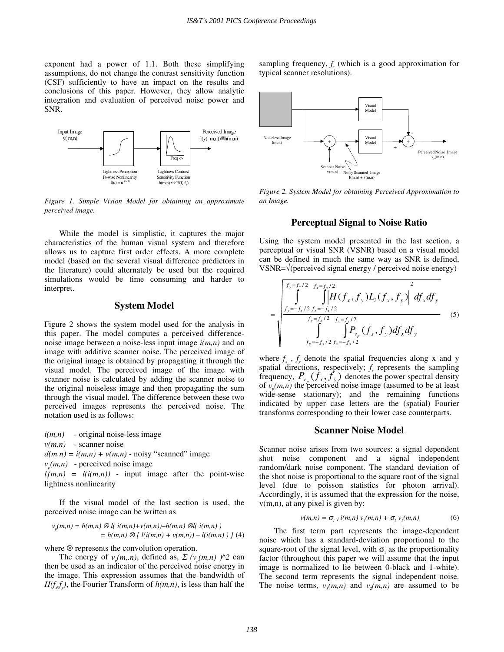exponent had a power of 1.1. Both these simplifying assumptions, do not change the contrast sensitivity function (CSF) sufficiently to have an impact on the results and conclusions of this paper. However, they allow analytic integration and evaluation of perceived noise power and SNR.



*Figure 1. Simple Vision Model for obtaining an approximate perceived image.* 

While the model is simplistic, it captures the major characteristics of the human visual system and therefore allows us to capture first order effects. A more complete model (based on the several visual difference predictors in the literature) could alternately be used but the required simulations would be time consuming and harder to interpret.

## **System Model**

Figure 2 shows the system model used for the analysis in this paper. The model computes a perceived differencenoise image between a noise-less input image *i(m,n)* and an image with additive scanner noise. The perceived image of the original image is obtained by propagating it through the visual model. The perceived image of the image with scanner noise is calculated by adding the scanner noise to the original noiseless image and then propagating the sum through the visual model. The difference between these two perceived images represents the perceived noise. The notation used is as follows:

*i(m,n)* - original noise-less image

 $v(m,n)$  - scanner noise

 $d(m,n) = i(m,n) + v(m,n)$  - noisy "scanned" image

 $v_n(m,n)$  - perceived noise image

 $l_i(m,n) = l(i(m,n))$  - input image after the point-wise lightness nonlinearity

If the visual model of the last section is used, the perceived noise image can be written as

$$
v_p(m,n) = h(m,n) \otimes l(i(m,n) + v(m,n)) - h(m,n) \otimes l(i(m,n)) = h(m,n) \otimes l(i(m,n) + v(m,n)) - l(i(m,n)) \} (4)
$$

where ⊗ represents the convolution operation.

The energy of  $v_n(m,n)$ , defined as,  $\sum (v_n(m,n))$   $\wedge$  2 can then be used as an indicator of the perceived noise energy in the image. This expression assumes that the bandwidth of  $H(f<sub>x</sub>f<sub>y</sub>)$ , the Fourier Transform of  $h(m,n)$ , is less than half the

sampling frequency,  $f_s$  (which is a good approximation for typical scanner resolutions).



*Figure 2. System Model for obtaining Perceived Approximation to an Image.* 

# **Perceptual Signal to Noise Ratio**

Using the system model presented in the last section, a perceptual or visual SNR (VSNR) based on a visual model can be defined in much the same way as SNR is defined, VSNR=√(perceived signal energy / perceived noise energy)

$$
= \sqrt{\int_{f_y=f_s/2}^{f_y=f_s/2} \int_{f_x=f_s/2}^{f_x=f_s/2} \int_{f_y=f_s/2}^{f_y=f_s/2} \int_{f_y=f_s/2}^{f_z/2} \int_{f_x=f_s/2}^{f_z/2} f_{f_x}f_{f_y} \Big) df_x df_y}
$$
\n
$$
f_y = -f_s/2 f_x = -f_s/2 \tag{5}
$$

where  $f_x$ ,  $f_y$  denote the spatial frequencies along x and y spatial directions, respectively;  $f_s$  represents the sampling frequency,  $P_{v_p} (f_x, f_y)$  denotes the power spectral density of  $v_n(m,n)$  the perceived noise image (assumed to be at least wide-sense stationary); and the remaining functions indicated by upper case letters are the (spatial) Fourier transforms corresponding to their lower case counterparts.

#### **Scanner Noise Model**

Scanner noise arises from two sources: a signal dependent shot noise component and a signal independent random/dark noise component. The standard deviation of the shot noise is proportional to the square root of the signal level (due to poisson statistics for photon arrival). Accordingly, it is assumed that the expression for the noise, v(m,n), at any pixel is given by:

$$
v(m,n) = \sigma_{1} \sqrt{i(m,n)} \, v_{1}(m,n) + \sigma_{2} \, v_{2}(m,n) \tag{6}
$$

The first term part represents the image-dependent noise which has a standard-deviation proportional to the square-root of the signal level, with  $\sigma_1$  as the proportionality factor (throughout this paper we will assume that the input image is normalized to lie between 0-black and 1-white). The second term represents the signal independent noise. The noise terms,  $v_1(m,n)$  and  $v_2(m,n)$  are assumed to be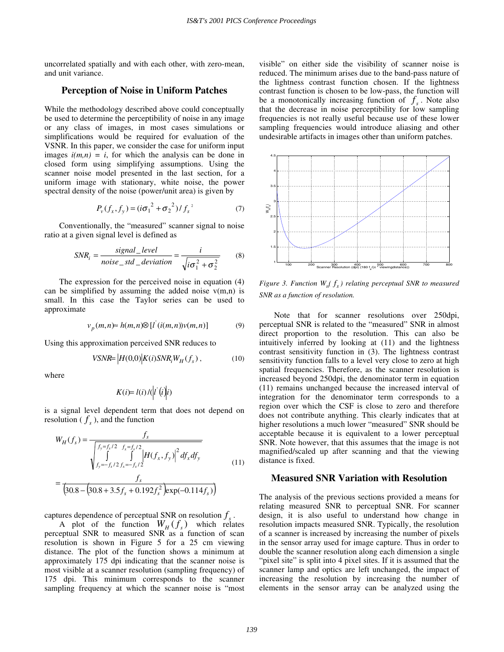uncorrelated spatially and with each other, with zero-mean, and unit variance.

## **Perception of Noise in Uniform Patches**

While the methodology described above could conceptually be used to determine the perceptibility of noise in any image or any class of images, in most cases simulations or simplifications would be required for evaluation of the VSNR. In this paper, we consider the case for uniform input images  $i(m,n) = i$ , for which the analysis can be done in closed form using simplifying assumptions. Using the scanner noise model presented in the last section, for a uniform image with stationary, white noise, the power spectral density of the noise (power/unit area) is given by

$$
P_{\nu}(f_x, f_y) = (i\sigma_1^2 + \sigma_2^2) / f_s^2
$$
 (7)

Conventionally, the "measured" scanner signal to noise ratio at a given signal level is defined as

$$
SNR_i = \frac{signal\_level}{noise\_std\_deviation} = \frac{i}{\sqrt{i\sigma_1^2 + \sigma_2^2}}
$$
(8)

The expression for the perceived noise in equation (4) can be simplified by assuming the added noise  $v(m,n)$  is small. In this case the Taylor series can be used to approximate

$$
v_p(m,n) \approx h(m,n) \otimes [l^{'}(i(m,n))v(m,n)] \qquad (9)
$$

Using this approximation perceived SNR reduces to

$$
VSNR = |H(0,0)|K(i)SNR_iW_H(f_s), \qquad (10)
$$

where

$$
K(i) = l(i) / (|i'(i)|i)
$$

is a signal level dependent term that does not depend on resolution ( $f<sub>s</sub>$ ), and the function

$$
W_H(f_s) = \frac{f_s}{\sqrt{\int_{f_y = f_s/2}^{f_y = f_s/2} \int_{f_x = -f_s/2}^{f_x = f_s/2} \left| H(f_x, f_y) \right|^2 df_x df_y}}
$$
\n
$$
= \frac{f_s}{\left(30.8 - \left(30.8 + 3.5 f_s + 0.192 f_s^2\right) \exp(-0.114 f_s)\right)}
$$
\n(11)

captures dependence of perceptual SNR on resolution  $f<sub>s</sub>$ .

A plot of the function  $W_H(f_s)$  which relates perceptual SNR to measured SNR as a function of scan resolution is shown in Figure 5 for a 25 cm viewing distance. The plot of the function shows a minimum at approximately 175 dpi indicating that the scanner noise is most visible at a scanner resolution (sampling frequency) of 175 dpi. This minimum corresponds to the scanner sampling frequency at which the scanner noise is "most

visible" on either side the visibility of scanner noise is reduced. The minimum arises due to the band-pass nature of the lightness contrast function chosen. If the lightness contrast function is chosen to be low-pass, the function will be a monotonically increasing function of  $f<sub>s</sub>$ . Note also that the decrease in noise perceptibility for low sampling frequencies is not really useful because use of these lower sampling frequencies would introduce aliasing and other undesirable artifacts in images other than uniform patches.



*Figure 3. Function*  $W_{H}(f_{s})$  *relating perceptual SNR to measured SNR as a function of resolution.* 

Note that for scanner resolutions over 250dpi, perceptual SNR is related to the "measured" SNR in almost direct proportion to the resolution. This can also be intuitively inferred by looking at (11) and the lightness contrast sensitivity function in (3). The lightness contrast sensitivity function falls to a level very close to zero at high spatial frequencies. Therefore, as the scanner resolution is increased beyond 250dpi, the denominator term in equation (11) remains unchanged because the increased interval of integration for the denominator term corresponds to a region over which the CSF is close to zero and therefore does not contribute anything. This clearly indicates that at higher resolutions a much lower "measured" SNR should be acceptable because it is equivalent to a lower perceptual SNR. Note however, that this assumes that the image is not magnified/scaled up after scanning and that the viewing distance is fixed.

#### **Measured SNR Variation with Resolution**

The analysis of the previous sections provided a means for relating measured SNR to perceptual SNR. For scanner design, it is also useful to understand how change in resolution impacts measured SNR. Typically, the resolution of a scanner is increased by increasing the number of pixels in the sensor array used for image capture. Thus in order to double the scanner resolution along each dimension a single "pixel site" is split into 4 pixel sites. If it is assumed that the scanner lamp and optics are left unchanged, the impact of increasing the resolution by increasing the number of elements in the sensor array can be analyzed using the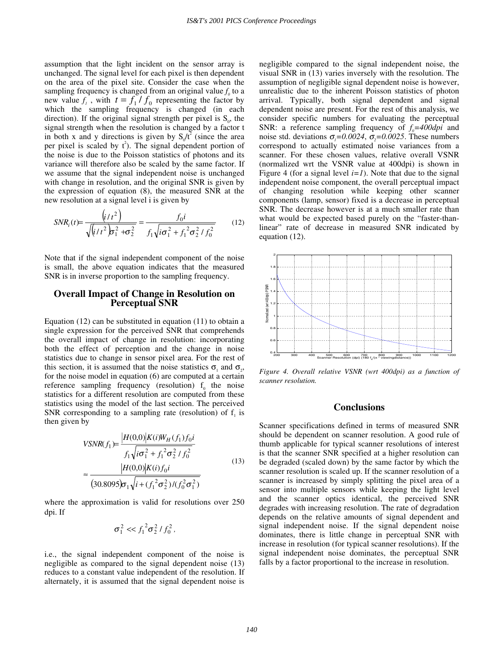assumption that the light incident on the sensor array is unchanged. The signal level for each pixel is then dependent on the area of the pixel site. Consider the case when the sampling frequency is changed from an original value  $f_0$  to a new value  $f_1$ , with  $t = f_1 / f_0$  representing the factor by which the sampling frequency is changed (in each direction). If the original signal strength per pixel is  $S_0$ , the signal strength when the resolution is changed by a factor t in both x and y directions is given by  $S_0/t^2$  (since the area per pixel is scaled by  $t^2$ ). The signal dependent portion of the noise is due to the Poisson statistics of photons and its variance will therefore also be scaled by the same factor. If we assume that the signal independent noise is unchanged with change in resolution, and the original SNR is given by the expression of equation (8), the measured SNR at the new resolution at a signal level i is given by

$$
SNR_i(t) = \frac{\left(i/t^2\right)}{\sqrt{\left(i/t^2\right)\sigma_1^2 + \sigma_2^2}} = \frac{f_0 i}{f_1 \sqrt{i\sigma_1^2 + f_1^2 \sigma_2^2 / f_0^2}}
$$
(12)

Note that if the signal independent component of the noise is small, the above equation indicates that the measured SNR is in inverse proportion to the sampling frequency.

## **Overall Impact of Change in Resolution on Perceptual SNR**

Equation (12) can be substituted in equation (11) to obtain a single expression for the perceived SNR that comprehends the overall impact of change in resolution: incorporating both the effect of perception and the change in noise statistics due to change in sensor pixel area. For the rest of this section, it is assumed that the noise statistics  $\sigma$ , and  $\sigma$ . for the noise model in equation (6) are computed at a certain reference sampling frequency (resolution)  $f_0$  the noise statistics for a different resolution are computed from these statistics using the model of the last section. The perceived SNR corresponding to a sampling rate (resolution) of  $f_i$  is then given by

$$
VSNR(f_1) = \frac{|H(0,0)|K(i)W_H(f_1)f_0i}{f_1\sqrt{i\sigma_1^2 + f_1^2\sigma_2^2/f_0^2}}
$$
  
\n
$$
\approx \frac{|H(0,0)|K(i)f_0i}{(30.8095)\sigma_1\sqrt{i + (f_1^2\sigma_2^2)/(f_0^2\sigma_1^2)}}
$$
(13)

where the approximation is valid for resolutions over 250 dpi. If

$$
\sigma_1^2 \ll f_1^2 \sigma_2^2 / f_0^2,
$$

i.e., the signal independent component of the noise is negligible as compared to the signal dependent noise (13) reduces to a constant value independent of the resolution. If alternately, it is assumed that the signal dependent noise is negligible compared to the signal independent noise, the visual SNR in (13) varies inversely with the resolution. The assumption of negligible signal dependent noise is however, unrealistic due to the inherent Poisson statistics of photon arrival. Typically, both signal dependent and signal dependent noise are present. For the rest of this analysis, we consider specific numbers for evaluating the perceptual SNR: a reference sampling frequency of  $f_0=400$  *dpi* and noise std. deviations  $\sigma_1 = 0.0024$ ,  $\sigma_2 = 0.0025$ . These numbers correspond to actually estimated noise variances from a scanner. For these chosen values, relative overall VSNR (normalized wrt the VSNR value at 400dpi) is shown in Figure 4 (for a signal level  $i=1$ ). Note that due to the signal independent noise component, the overall perceptual impact of changing resolution while keeping other scanner components (lamp, sensor) fixed is a decrease in perceptual SNR. The decrease however is at a much smaller rate than what would be expected based purely on the "faster-thanlinear" rate of decrease in measured SNR indicated by equation (12).



*Figure 4. Overall relative VSNR (wrt 400dpi) as a function of scanner resolution.* 

## **Conclusions**

Scanner specifications defined in terms of measured SNR should be dependent on scanner resolution. A good rule of thumb applicable for typical scanner resolutions of interest is that the scanner SNR specified at a higher resolution can be degraded (scaled down) by the same factor by which the scanner resolution is scaled up. If the scanner resolution of a scanner is increased by simply splitting the pixel area of a sensor into multiple sensors while keeping the light level and the scanner optics identical, the perceived SNR degrades with increasing resolution. The rate of degradation depends on the relative amounts of signal dependent and signal independent noise. If the signal dependent noise dominates, there is little change in perceptual SNR with increase in resolution (for typical scanner resolutions). If the signal independent noise dominates, the perceptual SNR falls by a factor proportional to the increase in resolution.